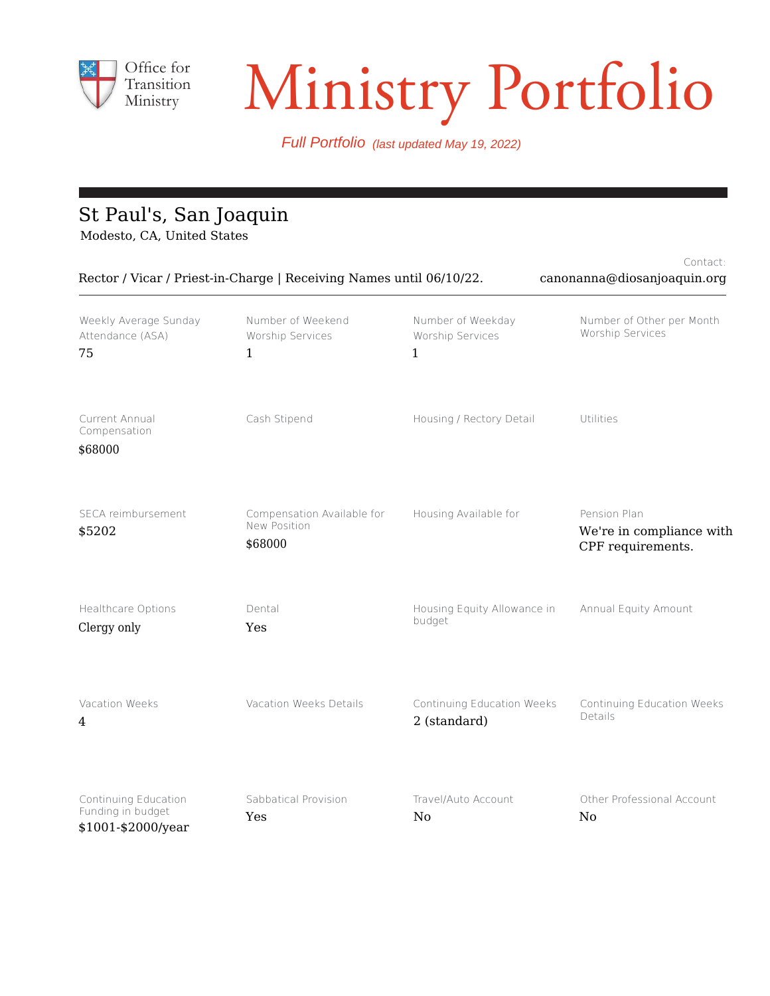

# Ministry Portfolio

Full Portfolio (last updated May 19, 2022)

# St Paul's, San Joaquin

Modesto, CA, United States

| Contact:<br>Rector / Vicar / Priest-in-Charge   Receiving Names until 06/10/22.<br>canonanna@diosanjoaquin.org |                                                       |                                                       |                                                               |  |
|----------------------------------------------------------------------------------------------------------------|-------------------------------------------------------|-------------------------------------------------------|---------------------------------------------------------------|--|
| Weekly Average Sunday<br>Attendance (ASA)<br>75                                                                | Number of Weekend<br>Worship Services<br>$\mathbf{1}$ | Number of Weekday<br>Worship Services<br>$\mathbf{1}$ | Number of Other per Month<br>Worship Services                 |  |
| Current Annual<br>Compensation<br>\$68000                                                                      | Cash Stipend                                          | Housing / Rectory Detail                              | Utilities                                                     |  |
| SECA reimbursement<br>\$5202                                                                                   | Compensation Available for<br>New Position<br>\$68000 | Housing Available for                                 | Pension Plan<br>We're in compliance with<br>CPF requirements. |  |
| <b>Healthcare Options</b><br>Clergy only                                                                       | Dental<br>Yes                                         | Housing Equity Allowance in<br>budget                 | Annual Equity Amount                                          |  |
| Vacation Weeks<br>4                                                                                            | Vacation Weeks Details                                | Continuing Education Weeks<br>2 (standard)            | Continuing Education Weeks<br>Details                         |  |
| Continuing Education<br>Funding in budget<br>\$1001-\$2000/year                                                | Sabbatical Provision<br>Yes                           | Travel/Auto Account<br>N <sub>0</sub>                 | Other Professional Account<br>No                              |  |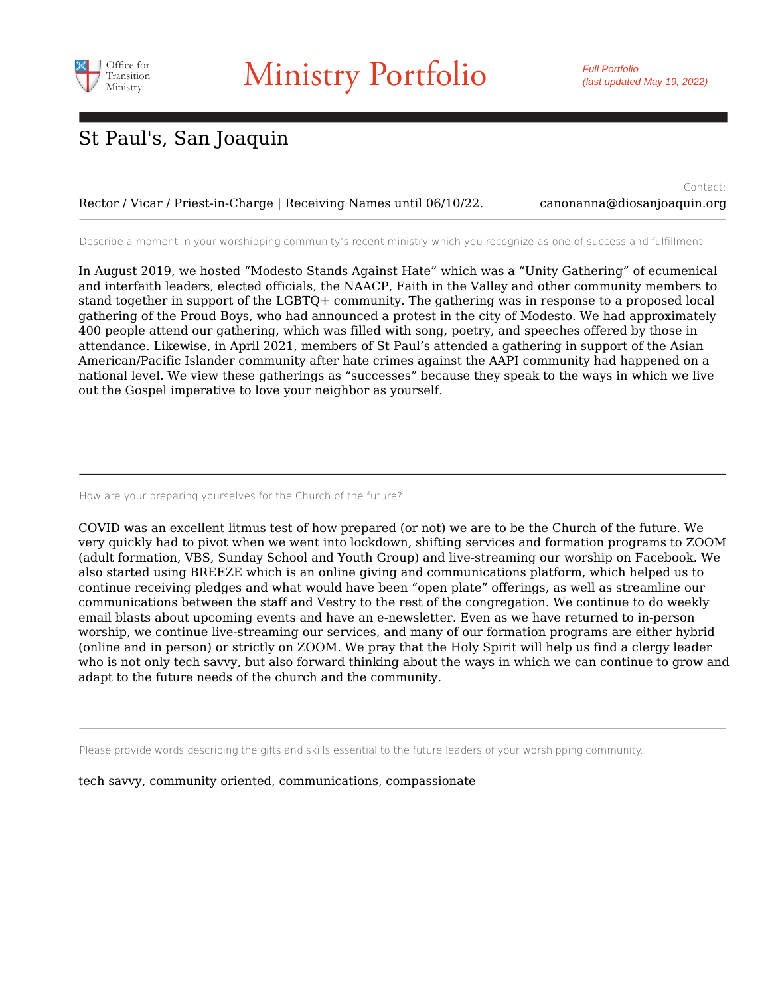

Rector / Vicar / Priest-in-Charge | Receiving Names until 06/10/22.

Contact: canonanna@diosanjoaquin.org

Describe a moment in your worshipping community's recent ministry which you recognize as one of success and fulfillment.

In August 2019, we hosted "Modesto Stands Against Hate" which was a "Unity Gathering" of ecumenical and interfaith leaders, elected officials, the NAACP, Faith in the Valley and other community members to stand together in support of the LGBTQ+ community. The gathering was in response to a proposed local gathering of the Proud Boys, who had announced a protest in the city of Modesto. We had approximately 400 people attend our gathering, which was filled with song, poetry, and speeches offered by those in attendance. Likewise, in April 2021, members of St Paul's attended a gathering in support of the Asian American/Pacific Islander community after hate crimes against the AAPI community had happened on a national level. We view these gatherings as "successes" because they speak to the ways in which we live out the Gospel imperative to love your neighbor as yourself.

How are your preparing yourselves for the Church of the future?

COVID was an excellent litmus test of how prepared (or not) we are to be the Church of the future. We very quickly had to pivot when we went into lockdown, shifting services and formation programs to ZOOM (adult formation, VBS, Sunday School and Youth Group) and live-streaming our worship on Facebook. We also started using BREEZE which is an online giving and communications platform, which helped us to continue receiving pledges and what would have been "open plate" offerings, as well as streamline our communications between the staff and Vestry to the rest of the congregation. We continue to do weekly email blasts about upcoming events and have an e-newsletter. Even as we have returned to in-person worship, we continue live-streaming our services, and many of our formation programs are either hybrid (online and in person) or strictly on ZOOM. We pray that the Holy Spirit will help us find a clergy leader who is not only tech savvy, but also forward thinking about the ways in which we can continue to grow and adapt to the future needs of the church and the community.

Please provide words describing the gifts and skills essential to the future leaders of your worshipping community.

tech savvy, community oriented, communications, compassionate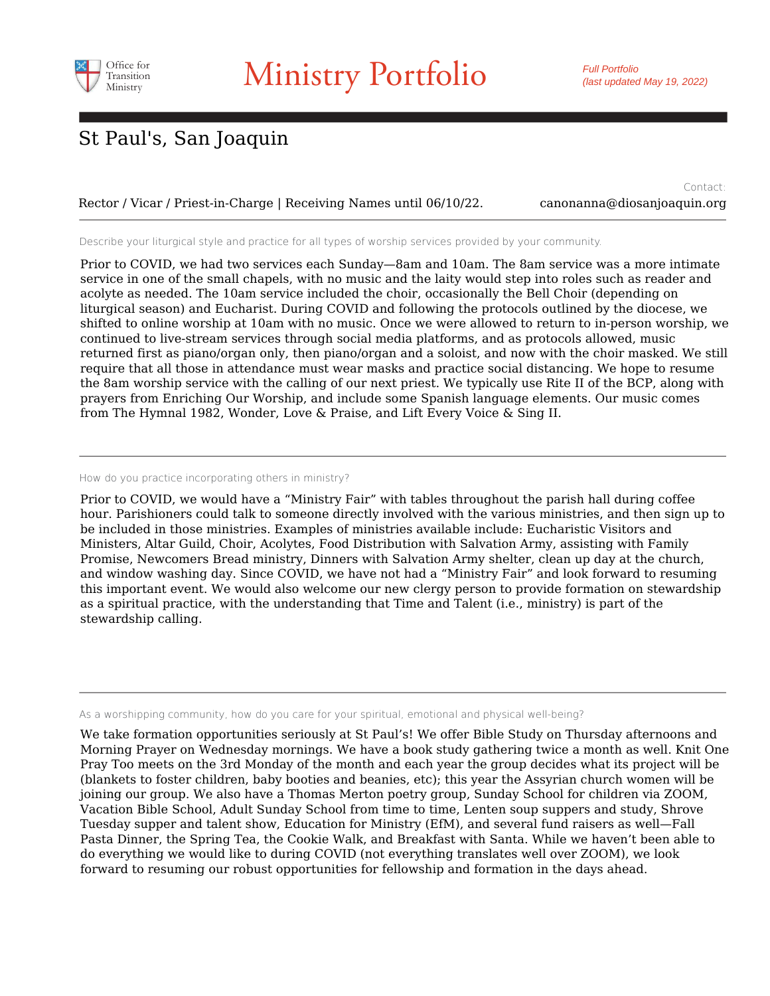

Rector / Vicar / Priest-in-Charge | Receiving Names until 06/10/22. canonanna@diosanjoaquin.org

Contact:

Describe your liturgical style and practice for all types of worship services provided by your community.

Prior to COVID, we had two services each Sunday—8am and 10am. The 8am service was a more intimate service in one of the small chapels, with no music and the laity would step into roles such as reader and acolyte as needed. The 10am service included the choir, occasionally the Bell Choir (depending on liturgical season) and Eucharist. During COVID and following the protocols outlined by the diocese, we shifted to online worship at 10am with no music. Once we were allowed to return to in-person worship, we continued to live-stream services through social media platforms, and as protocols allowed, music returned first as piano/organ only, then piano/organ and a soloist, and now with the choir masked. We still require that all those in attendance must wear masks and practice social distancing. We hope to resume the 8am worship service with the calling of our next priest. We typically use Rite II of the BCP, along with prayers from Enriching Our Worship, and include some Spanish language elements. Our music comes from The Hymnal 1982, Wonder, Love & Praise, and Lift Every Voice & Sing II.

#### How do you practice incorporating others in ministry?

Prior to COVID, we would have a "Ministry Fair" with tables throughout the parish hall during coffee hour. Parishioners could talk to someone directly involved with the various ministries, and then sign up to be included in those ministries. Examples of ministries available include: Eucharistic Visitors and Ministers, Altar Guild, Choir, Acolytes, Food Distribution with Salvation Army, assisting with Family Promise, Newcomers Bread ministry, Dinners with Salvation Army shelter, clean up day at the church, and window washing day. Since COVID, we have not had a "Ministry Fair" and look forward to resuming this important event. We would also welcome our new clergy person to provide formation on stewardship as a spiritual practice, with the understanding that Time and Talent (i.e., ministry) is part of the stewardship calling.

As a worshipping community, how do you care for your spiritual, emotional and physical well-being?

We take formation opportunities seriously at St Paul's! We offer Bible Study on Thursday afternoons and Morning Prayer on Wednesday mornings. We have a book study gathering twice a month as well. Knit One Pray Too meets on the 3rd Monday of the month and each year the group decides what its project will be (blankets to foster children, baby booties and beanies, etc); this year the Assyrian church women will be joining our group. We also have a Thomas Merton poetry group, Sunday School for children via ZOOM, Vacation Bible School, Adult Sunday School from time to time, Lenten soup suppers and study, Shrove Tuesday supper and talent show, Education for Ministry (EfM), and several fund raisers as well—Fall Pasta Dinner, the Spring Tea, the Cookie Walk, and Breakfast with Santa. While we haven't been able to do everything we would like to during COVID (not everything translates well over ZOOM), we look forward to resuming our robust opportunities for fellowship and formation in the days ahead.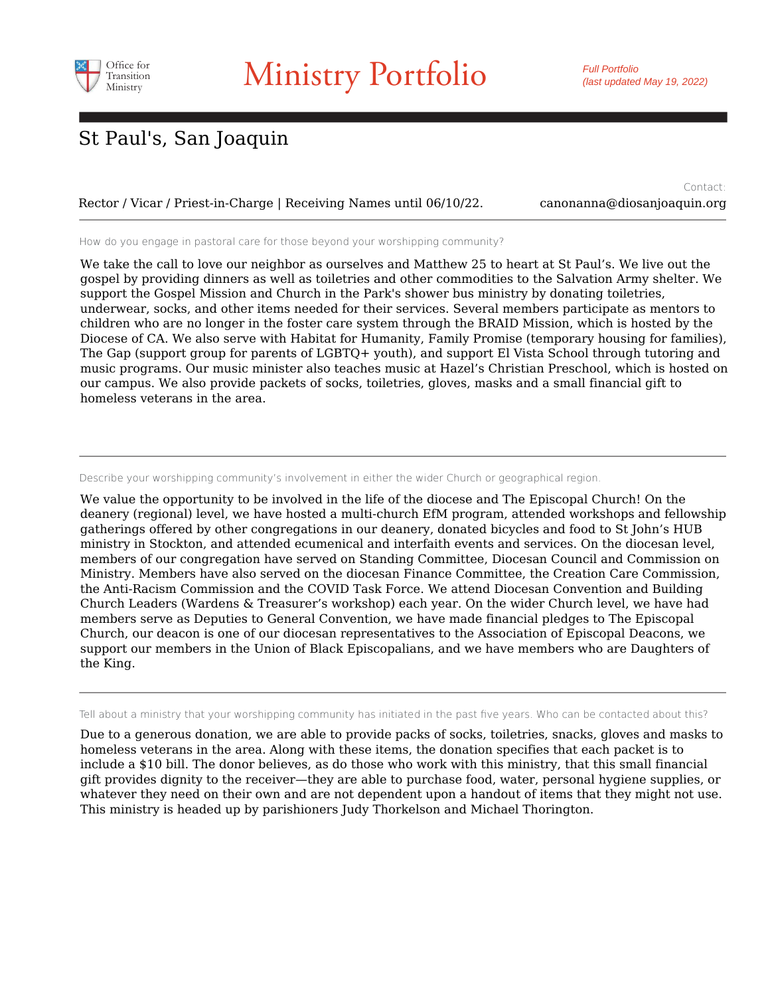

Rector / Vicar / Priest-in-Charge | Receiving Names until 06/10/22. canonanna@diosanjoaquin.org

Contact:

How do you engage in pastoral care for those beyond your worshipping community?

We take the call to love our neighbor as ourselves and Matthew 25 to heart at St Paul's. We live out the gospel by providing dinners as well as toiletries and other commodities to the Salvation Army shelter. We support the Gospel Mission and Church in the Park's shower bus ministry by donating toiletries, underwear, socks, and other items needed for their services. Several members participate as mentors to children who are no longer in the foster care system through the BRAID Mission, which is hosted by the Diocese of CA. We also serve with Habitat for Humanity, Family Promise (temporary housing for families), The Gap (support group for parents of LGBTQ+ youth), and support El Vista School through tutoring and music programs. Our music minister also teaches music at Hazel's Christian Preschool, which is hosted on our campus. We also provide packets of socks, toiletries, gloves, masks and a small financial gift to homeless veterans in the area.

Describe your worshipping community's involvement in either the wider Church or geographical region.

We value the opportunity to be involved in the life of the diocese and The Episcopal Church! On the deanery (regional) level, we have hosted a multi-church EfM program, attended workshops and fellowship gatherings offered by other congregations in our deanery, donated bicycles and food to St John's HUB ministry in Stockton, and attended ecumenical and interfaith events and services. On the diocesan level, members of our congregation have served on Standing Committee, Diocesan Council and Commission on Ministry. Members have also served on the diocesan Finance Committee, the Creation Care Commission, the Anti-Racism Commission and the COVID Task Force. We attend Diocesan Convention and Building Church Leaders (Wardens & Treasurer's workshop) each year. On the wider Church level, we have had members serve as Deputies to General Convention, we have made financial pledges to The Episcopal Church, our deacon is one of our diocesan representatives to the Association of Episcopal Deacons, we support our members in the Union of Black Episcopalians, and we have members who are Daughters of the King.

Tell about a ministry that your worshipping community has initiated in the past five years. Who can be contacted about this?

Due to a generous donation, we are able to provide packs of socks, toiletries, snacks, gloves and masks to homeless veterans in the area. Along with these items, the donation specifies that each packet is to include a \$10 bill. The donor believes, as do those who work with this ministry, that this small financial gift provides dignity to the receiver—they are able to purchase food, water, personal hygiene supplies, or whatever they need on their own and are not dependent upon a handout of items that they might not use. This ministry is headed up by parishioners Judy Thorkelson and Michael Thorington.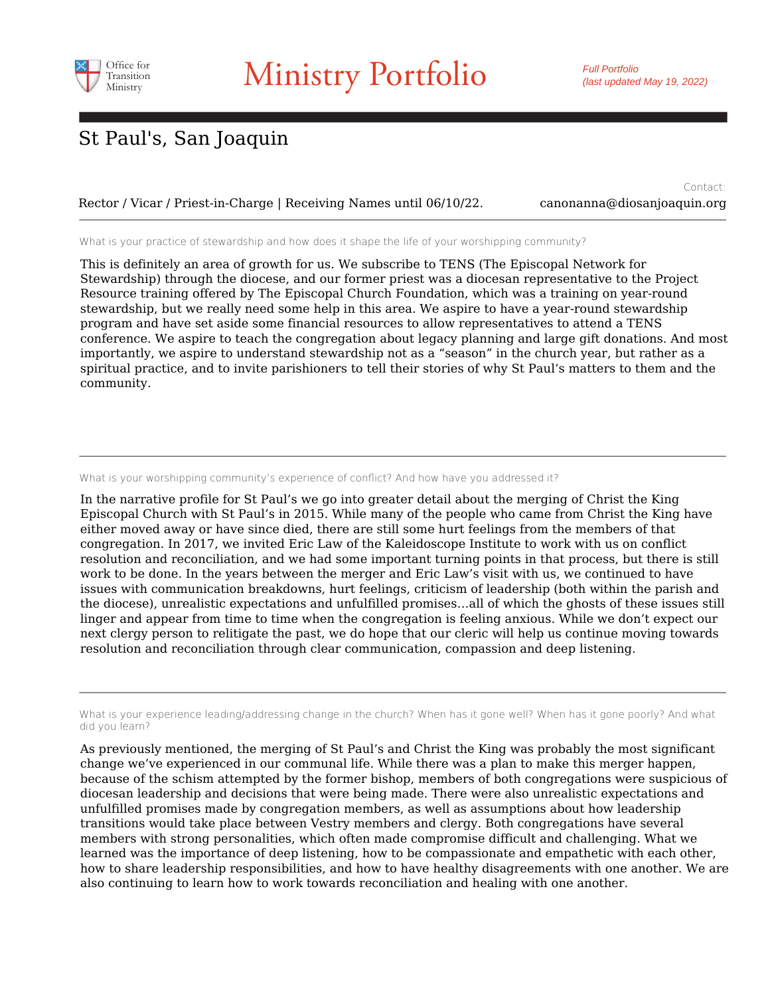

Rector / Vicar / Priest-in-Charge | Receiving Names until 06/10/22. canonanna@diosanjoaquin.org

Contact:

What is your practice of stewardship and how does it shape the life of your worshipping community?

This is definitely an area of growth for us. We subscribe to TENS (The Episcopal Network for Stewardship) through the diocese, and our former priest was a diocesan representative to the Project Resource training offered by The Episcopal Church Foundation, which was a training on year-round stewardship, but we really need some help in this area. We aspire to have a year-round stewardship program and have set aside some financial resources to allow representatives to attend a TENS conference. We aspire to teach the congregation about legacy planning and large gift donations. And most importantly, we aspire to understand stewardship not as a "season" in the church year, but rather as a spiritual practice, and to invite parishioners to tell their stories of why St Paul's matters to them and the community.

What is your worshipping community's experience of conflict? And how have you addressed it?

In the narrative profile for St Paul's we go into greater detail about the merging of Christ the King Episcopal Church with St Paul's in 2015. While many of the people who came from Christ the King have either moved away or have since died, there are still some hurt feelings from the members of that congregation. In 2017, we invited Eric Law of the Kaleidoscope Institute to work with us on conflict resolution and reconciliation, and we had some important turning points in that process, but there is still work to be done. In the years between the merger and Eric Law's visit with us, we continued to have issues with communication breakdowns, hurt feelings, criticism of leadership (both within the parish and the diocese), unrealistic expectations and unfulfilled promises…all of which the ghosts of these issues still linger and appear from time to time when the congregation is feeling anxious. While we don't expect our next clergy person to relitigate the past, we do hope that our cleric will help us continue moving towards resolution and reconciliation through clear communication, compassion and deep listening.

What is your experience leading/addressing change in the church? When has it gone well? When has it gone poorly? And what did you learn?

As previously mentioned, the merging of St Paul's and Christ the King was probably the most significant change we've experienced in our communal life. While there was a plan to make this merger happen, because of the schism attempted by the former bishop, members of both congregations were suspicious of diocesan leadership and decisions that were being made. There were also unrealistic expectations and unfulfilled promises made by congregation members, as well as assumptions about how leadership transitions would take place between Vestry members and clergy. Both congregations have several members with strong personalities, which often made compromise difficult and challenging. What we learned was the importance of deep listening, how to be compassionate and empathetic with each other, how to share leadership responsibilities, and how to have healthy disagreements with one another. We are also continuing to learn how to work towards reconciliation and healing with one another.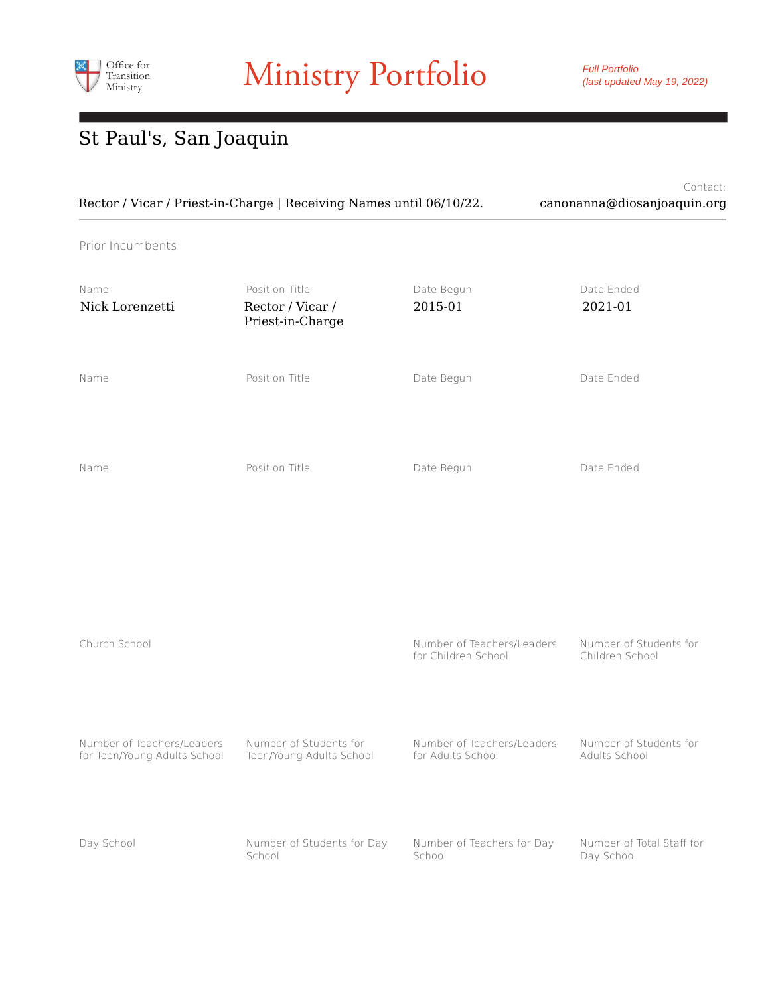

Full Portfolio (last updated May 19, 2022)

# St Paul's, San Joaquin

|                                                            | Rector / Vicar / Priest-in-Charge   Receiving Names until 06/10/22. |                                                   | Contact:<br>canonanna@diosanjoaquin.org   |  |
|------------------------------------------------------------|---------------------------------------------------------------------|---------------------------------------------------|-------------------------------------------|--|
| Prior Incumbents                                           |                                                                     |                                                   |                                           |  |
| Name<br>Nick Lorenzetti                                    | Position Title<br>Rector / Vicar /<br>Priest-in-Charge              | Date Begun<br>2015-01                             | Date Ended<br>2021-01                     |  |
| Name                                                       | Position Title                                                      | Date Begun                                        | Date Ended                                |  |
| Name                                                       | Position Title                                                      | Date Begun                                        | Date Ended                                |  |
|                                                            |                                                                     |                                                   |                                           |  |
| Church School                                              |                                                                     | Number of Teachers/Leaders<br>for Children School | Number of Students for<br>Children School |  |
| Number of Teachers/Leaders<br>for Teen/Young Adults School | Number of Students for<br>Teen/Young Adults School                  | Number of Teachers/Leaders<br>for Adults School   | Number of Students for<br>Adults School   |  |
| Day School                                                 | Number of Students for Day<br>School                                | Number of Teachers for Day<br>School              | Number of Total Staff for<br>Day School   |  |